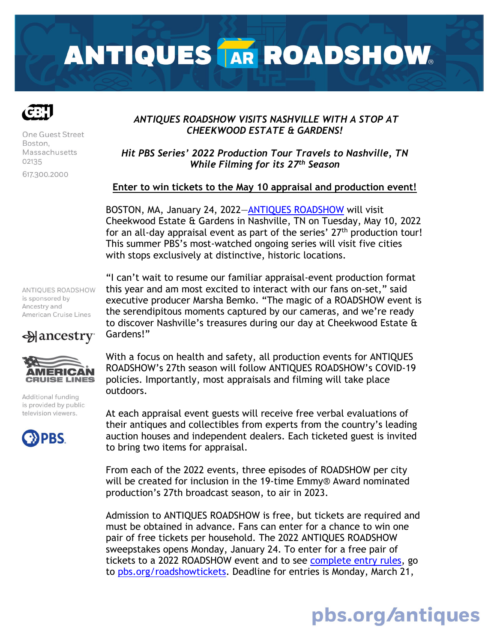# **ANTIQUES TAR ROADSHOW.**



One Guest Street Boston, Massachusetts 02135 617,300,2000

# *ANTIQUES ROADSHOW VISITS NASHVILLE WITH A STOP AT CHEEKWOOD ESTATE & GARDENS!*

*Hit PBS Series' 2022 Production Tour Travels to Nashville, TN While Filming for its 27th Season*

## **Enter to win tickets to the May 10 appraisal and production event!**

BOSTON, MA, January 24, 2022[—ANTIQUES ROADSHOW](https://www.pbs.org/wgbh/roadshow/ontour/) will visit Cheekwood Estate & Gardens in Nashville, TN on Tuesday, May 10, 2022 for an all-day appraisal event as part of the series'  $27<sup>th</sup>$  production tour! This summer PBS's most-watched ongoing series will visit five cities with stops exclusively at distinctive, historic locations.

ANTIQUES ROADSHOW is sponsored by Ancestry and American Cruise Lines

 $\triangle$  ancestry



Additional funding is provided by public television viewers.



"I can't wait to resume our familiar appraisal-event production format this year and am most excited to interact with our fans on-set," said executive producer Marsha Bemko. "The magic of a ROADSHOW event is the serendipitous moments captured by our cameras, and we're ready to discover Nashville's treasures during our day at Cheekwood Estate & Gardens!"

With a focus on health and safety, all production events for ANTIQUES ROADSHOW's 27th season will follow ANTIQUES ROADSHOW's COVID-19 policies. Importantly, most appraisals and filming will take place outdoors.

At each appraisal event guests will receive free verbal evaluations of their antiques and collectibles from experts from the country's leading auction houses and independent dealers. Each ticketed guest is invited to bring two items for appraisal.

From each of the 2022 events, three episodes of ROADSHOW per city will be created for inclusion in the 19-time Emmy® Award nominated production's 27th broadcast season, to air in 2023.

Admission to ANTIQUES ROADSHOW is free, but tickets are required and must be obtained in advance. Fans can enter for a chance to win one pair of free tickets per household. The 2022 ANTIQUES ROADSHOW sweepstakes opens Monday, January 24. To enter for a free pair of tickets to a 2022 ROADSHOW event and to see [complete entry rules,](https://www.pbs.org/wgbh/roadshow/tickets/rules/) go to [pbs.org/roadshowtickets.](https://www.pbs.org/wgbh/roadshow/tickets/) Deadline for entries is Monday, March 21,

# pbs.org/antiques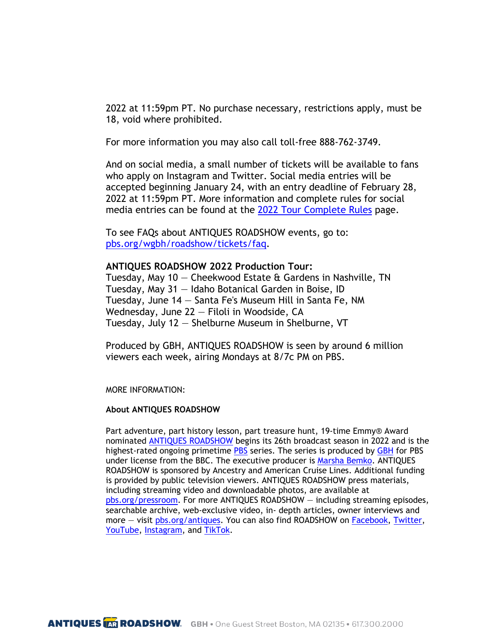2022 at 11:59pm PT. No purchase necessary, restrictions apply, must be 18, void where prohibited.

For more information you may also call toll-free 888-762-3749.

And on social media, a small number of tickets will be available to fans who apply on Instagram and Twitter. Social media entries will be accepted beginning January 24, with an entry deadline of February 28, 2022 at 11:59pm PT. More information and complete rules for social media entries can be found at the [2022 Tour Complete Rules](https://www.pbs.org/wgbh/roadshow/tickets/rules/) page.

To see FAQs about ANTIQUES ROADSHOW events, go to: [pbs.org/wgbh/roadshow/tickets/faq.](https://www.pbs.org/wgbh/roadshow/tickets/faq/)

#### **ANTIQUES ROADSHOW 2022 Production Tour:**

Tuesday, May  $10$  – Cheekwood Estate  $\theta$  Gardens in Nashville, TN Tuesday, May 31 — Idaho Botanical Garden in Boise, ID Tuesday, June 14 — Santa Fe's Museum Hill in Santa Fe, NM Wednesday, June 22 — Filoli in Woodside, CA Tuesday, July 12 — Shelburne Museum in Shelburne, VT

Produced by GBH, ANTIQUES ROADSHOW is seen by around 6 million viewers each week, airing Mondays at 8/7c PM on PBS.

MORE INFORMATION:

#### **About ANTIQUES ROADSHOW**

Part adventure, part history lesson, part treasure hunt, 19-time Emmy® Award nominated [ANTIQUES ROADSHOW](https://www.pbs.org/wgbh/roadshow/) begins its 26th broadcast season in 2022 and is the highest-rated ongoing primetime [PBS](https://www.pbs.org/) series. The series is produced by [GBH](https://www.wgbh.org/) for PBS under license from the BBC. The executive producer is [Marsha Bemko.](https://www.pbs.org/wgbh/roadshow/stories/articles/2016/9/9/executive-producer-marsha-bemko/) ANTIQUES ROADSHOW is sponsored by Ancestry and American Cruise Lines. Additional funding is provided by public television viewers. ANTIQUES ROADSHOW press materials, including streaming video and downloadable photos, are available at [pbs.org/pressroom.](http://pressroom.pbs.org/) For more ANTIQUES ROADSHOW — including streaming episodes, searchable archive, web-exclusive video, in- depth articles, owner interviews and more – visit [pbs.org/antiques.](http://www.pbs.org/wgbh/roadshow/) You can also find ROADSHOW on [Facebook,](https://www.facebook.com/RoadshowPBS) [Twitter,](https://twitter.com/RoadshowPBS) [YouTube,](https://www.youtube.com/user/AntiquesRoadshow) [Instagram,](https://www.instagram.com/roadshowpbs/) and [TikTok.](https://www.tiktok.com/@roadshowpbs)